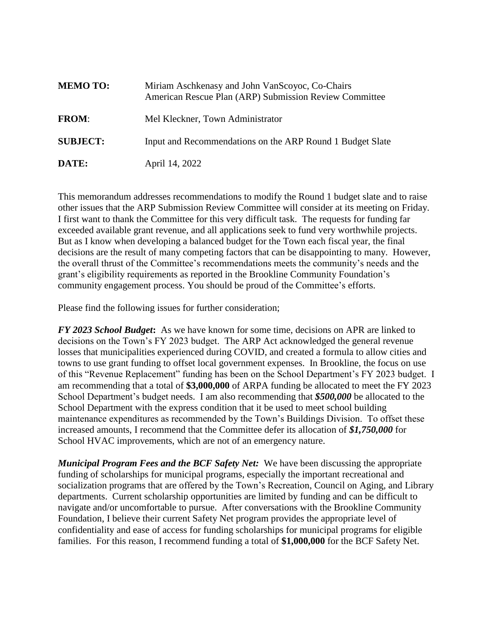| <b>MEMO TO:</b> | Miriam Aschkenasy and John VanScoyoc, Co-Chairs<br>American Rescue Plan (ARP) Submission Review Committee |
|-----------------|-----------------------------------------------------------------------------------------------------------|
| <b>FROM:</b>    | Mel Kleckner, Town Administrator                                                                          |
| <b>SUBJECT:</b> | Input and Recommendations on the ARP Round 1 Budget Slate                                                 |
| DATE:           | April 14, 2022                                                                                            |

This memorandum addresses recommendations to modify the Round 1 budget slate and to raise other issues that the ARP Submission Review Committee will consider at its meeting on Friday. I first want to thank the Committee for this very difficult task. The requests for funding far exceeded available grant revenue, and all applications seek to fund very worthwhile projects. But as I know when developing a balanced budget for the Town each fiscal year, the final decisions are the result of many competing factors that can be disappointing to many. However, the overall thrust of the Committee's recommendations meets the community's needs and the grant's eligibility requirements as reported in the Brookline Community Foundation's community engagement process. You should be proud of the Committee's efforts.

Please find the following issues for further consideration;

*FY 2023 School Budget***:** As we have known for some time, decisions on APR are linked to decisions on the Town's FY 2023 budget. The ARP Act acknowledged the general revenue losses that municipalities experienced during COVID, and created a formula to allow cities and towns to use grant funding to offset local government expenses. In Brookline, the focus on use of this "Revenue Replacement" funding has been on the School Department's FY 2023 budget. I am recommending that a total of **\$3,000,000** of ARPA funding be allocated to meet the FY 2023 School Department's budget needs. I am also recommending that *\$500,000* be allocated to the School Department with the express condition that it be used to meet school building maintenance expenditures as recommended by the Town's Buildings Division. To offset these increased amounts, I recommend that the Committee defer its allocation of *\$1,750,000* for School HVAC improvements, which are not of an emergency nature.

*Municipal Program Fees and the BCF Safety Net:* We have been discussing the appropriate funding of scholarships for municipal programs, especially the important recreational and socialization programs that are offered by the Town's Recreation, Council on Aging, and Library departments. Current scholarship opportunities are limited by funding and can be difficult to navigate and/or uncomfortable to pursue. After conversations with the Brookline Community Foundation, I believe their current Safety Net program provides the appropriate level of confidentiality and ease of access for funding scholarships for municipal programs for eligible families. For this reason, I recommend funding a total of **\$1,000,000** for the BCF Safety Net.